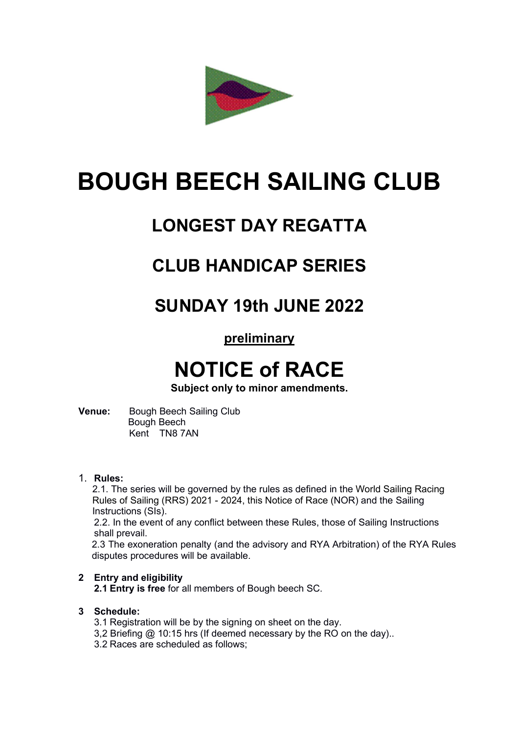

# BOUGH BEECH SAILING CLUB

### LONGEST DAY REGATTA

### CLUB HANDICAP SERIES

### SUNDAY 19th JUNE 2022

### preliminary

## NOTICE of RACE

Subject only to minor amendments.

Venue: Bough Beech Sailing Club Bough Beech Kent TN8 7AN

#### 1. Rules:

2.1. The series will be governed by the rules as defined in the World Sailing Racing Rules of Sailing (RRS) 2021 - 2024, this Notice of Race (NOR) and the Sailing Instructions (SIs).

2.2. In the event of any conflict between these Rules, those of Sailing Instructions shall prevail.

2.3 The exoneration penalty (and the advisory and RYA Arbitration) of the RYA Rules disputes procedures will be available.

#### 2 Entry and eligibility

2.1 Entry is free for all members of Bough beech SC.

#### 3 Schedule:

- 3.1 Registration will be by the signing on sheet on the day.
- 3,2 Briefing @ 10:15 hrs (If deemed necessary by the RO on the day)..
- 3.2 Races are scheduled as follows;